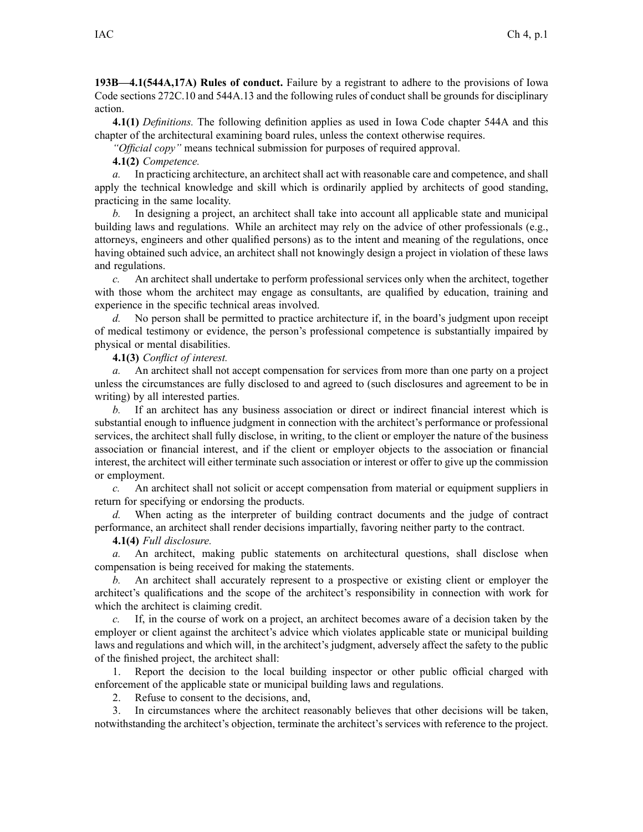**193B—4.1(544A,17A) Rules of conduct.** Failure by <sup>a</sup> registrant to adhere to the provisions of Iowa Code sections 272C.10 and 544A.13 and the following rules of conduct shall be grounds for disciplinary action.

**4.1(1)** *Definitions.* The following definition applies as used in Iowa Code chapter 544A and this chapter of the architectural examining board rules, unless the context otherwise requires.

*"Official copy"* means technical submission for purposes of required approval.

**4.1(2)** *Competence.*

*a.* In practicing architecture, an architect shall act with reasonable care and competence, and shall apply the technical knowledge and skill which is ordinarily applied by architects of good standing, practicing in the same locality.

*b.* In designing <sup>a</sup> project, an architect shall take into account all applicable state and municipal building laws and regulations. While an architect may rely on the advice of other professionals (e.g., attorneys, engineers and other qualified persons) as to the intent and meaning of the regulations, once having obtained such advice, an architect shall not knowingly design <sup>a</sup> project in violation of these laws and regulations.

*c.* An architect shall undertake to perform professional services only when the architect, together with those whom the architect may engage as consultants, are qualified by education, training and experience in the specific technical areas involved.

*d.* No person shall be permitted to practice architecture if, in the board's judgment upon receipt of medical testimony or evidence, the person's professional competence is substantially impaired by physical or mental disabilities.

**4.1(3)** *Conflict of interest.*

*a.* An architect shall not accep<sup>t</sup> compensation for services from more than one party on <sup>a</sup> project unless the circumstances are fully disclosed to and agreed to (such disclosures and agreemen<sup>t</sup> to be in writing) by all interested parties.

*b.* If an architect has any business association or direct or indirect financial interest which is substantial enough to influence judgment in connection with the architect's performance or professional services, the architect shall fully disclose, in writing, to the client or employer the nature of the business association or financial interest, and if the client or employer objects to the association or financial interest, the architect will either terminate such association or interest or offer to give up the commission or employment.

*c.* An architect shall not solicit or accep<sup>t</sup> compensation from material or equipment suppliers in return for specifying or endorsing the products.

*d.* When acting as the interpreter of building contract documents and the judge of contract performance, an architect shall render decisions impartially, favoring neither party to the contract.

**4.1(4)** *Full disclosure.*

*a.* An architect, making public statements on architectural questions, shall disclose when compensation is being received for making the statements.

*b.* An architect shall accurately represen<sup>t</sup> to <sup>a</sup> prospective or existing client or employer the architect's qualifications and the scope of the architect's responsibility in connection with work for which the architect is claiming credit.

*c.* If, in the course of work on <sup>a</sup> project, an architect becomes aware of <sup>a</sup> decision taken by the employer or client against the architect's advice which violates applicable state or municipal building laws and regulations and which will, in the architect's judgment, adversely affect the safety to the public of the finished project, the architect shall:

1. Report the decision to the local building inspector or other public official charged with enforcement of the applicable state or municipal building laws and regulations.

2. Refuse to consent to the decisions, and,

3. In circumstances where the architect reasonably believes that other decisions will be taken, notwithstanding the architect's objection, terminate the architect's services with reference to the project.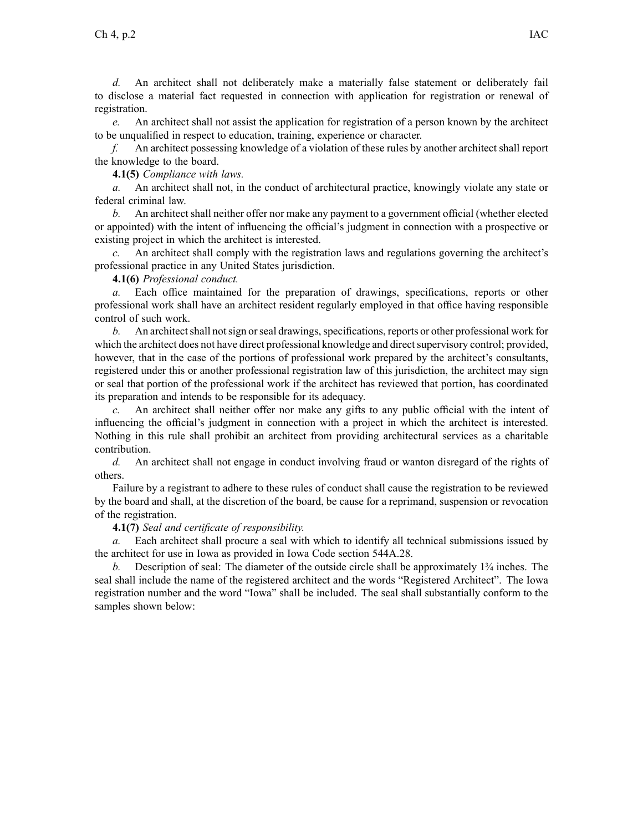*d.* An architect shall not deliberately make <sup>a</sup> materially false statement or deliberately fail to disclose <sup>a</sup> material fact requested in connection with application for registration or renewal of registration.

*e.* An architect shall not assist the application for registration of <sup>a</sup> person known by the architect to be unqualified in respec<sup>t</sup> to education, training, experience or character.

*f.* An architect possessing knowledge of <sup>a</sup> violation of these rules by another architect shall repor<sup>t</sup> the knowledge to the board.

**4.1(5)** *Compliance with laws.*

*a.* An architect shall not, in the conduct of architectural practice, knowingly violate any state or federal criminal law.

*b.* An architect shall neither offer nor make any paymen<sup>t</sup> to <sup>a</sup> governmen<sup>t</sup> official (whether elected or appointed) with the intent of influencing the official's judgment in connection with <sup>a</sup> prospective or existing project in which the architect is interested.

*c.* An architect shall comply with the registration laws and regulations governing the architect's professional practice in any United States jurisdiction.

## **4.1(6)** *Professional conduct.*

*a.* Each office maintained for the preparation of drawings, specifications, reports or other professional work shall have an architect resident regularly employed in that office having responsible control of such work.

*b.* An architect shall not sign or seal drawings, specifications, reports or other professional work for which the architect does not have direct professional knowledge and direct supervisory control; provided, however, that in the case of the portions of professional work prepared by the architect's consultants, registered under this or another professional registration law of this jurisdiction, the architect may sign or seal that portion of the professional work if the architect has reviewed that portion, has coordinated its preparation and intends to be responsible for its adequacy.

*c.* An architect shall neither offer nor make any gifts to any public official with the intent of influencing the official's judgment in connection with <sup>a</sup> project in which the architect is interested. Nothing in this rule shall prohibit an architect from providing architectural services as <sup>a</sup> charitable contribution.

*d.* An architect shall not engage in conduct involving fraud or wanton disregard of the rights of others.

Failure by <sup>a</sup> registrant to adhere to these rules of conduct shall cause the registration to be reviewed by the board and shall, at the discretion of the board, be cause for <sup>a</sup> reprimand, suspension or revocation of the registration.

## **4.1(7)** *Seal and certificate of responsibility.*

*a.* Each architect shall procure <sup>a</sup> seal with which to identify all technical submissions issued by the architect for use in Iowa as provided in Iowa Code section 544A.28.

*b.* Description of seal: The diameter of the outside circle shall be approximately 1¾ inches. The seal shall include the name of the registered architect and the words "Registered Architect". The Iowa registration number and the word "Iowa" shall be included. The seal shall substantially conform to the samples shown below: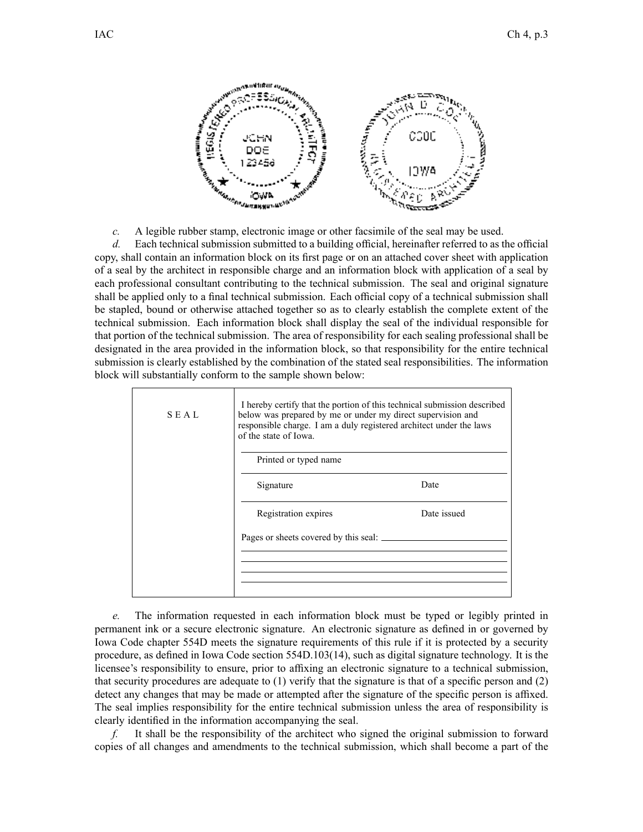

*c.* A legible rubber stamp, electronic image or other facsimile of the seal may be used.

*d.* Each technical submission submitted to <sup>a</sup> building official, hereinafter referred to as the official copy, shall contain an information block on its first page or on an attached cover sheet with application of <sup>a</sup> seal by the architect in responsible charge and an information block with application of <sup>a</sup> seal by each professional consultant contributing to the technical submission. The seal and original signature shall be applied only to <sup>a</sup> final technical submission. Each official copy of <sup>a</sup> technical submission shall be stapled, bound or otherwise attached together so as to clearly establish the complete extent of the technical submission. Each information block shall display the seal of the individual responsible for that portion of the technical submission. The area of responsibility for each sealing professional shall be designated in the area provided in the information block, so that responsibility for the entire technical submission is clearly established by the combination of the stated seal responsibilities. The information block will substantially conform to the sample shown below:

| <b>SEAL</b> | I hereby certify that the portion of this technical submission described<br>below was prepared by me or under my direct supervision and<br>responsible charge. I am a duly registered architect under the laws<br>of the state of Iowa. |             |
|-------------|-----------------------------------------------------------------------------------------------------------------------------------------------------------------------------------------------------------------------------------------|-------------|
|             | Printed or typed name                                                                                                                                                                                                                   |             |
|             | Signature                                                                                                                                                                                                                               | Date        |
|             | Registration expires                                                                                                                                                                                                                    | Date issued |
|             |                                                                                                                                                                                                                                         |             |
|             |                                                                                                                                                                                                                                         |             |
|             |                                                                                                                                                                                                                                         |             |

*e.* The information requested in each information block must be typed or legibly printed in permanen<sup>t</sup> ink or <sup>a</sup> secure electronic signature. An electronic signature as defined in or governed by Iowa Code chapter 554D meets the signature requirements of this rule if it is protected by <sup>a</sup> security procedure, as defined in Iowa Code section 554D.103(14), such as digital signature technology. It is the licensee's responsibility to ensure, prior to affixing an electronic signature to <sup>a</sup> technical submission, that security procedures are adequate to (1) verify that the signature is that of <sup>a</sup> specific person and (2) detect any changes that may be made or attempted after the signature of the specific person is affixed. The seal implies responsibility for the entire technical submission unless the area of responsibility is clearly identified in the information accompanying the seal.

*f.* It shall be the responsibility of the architect who signed the original submission to forward copies of all changes and amendments to the technical submission, which shall become <sup>a</sup> par<sup>t</sup> of the